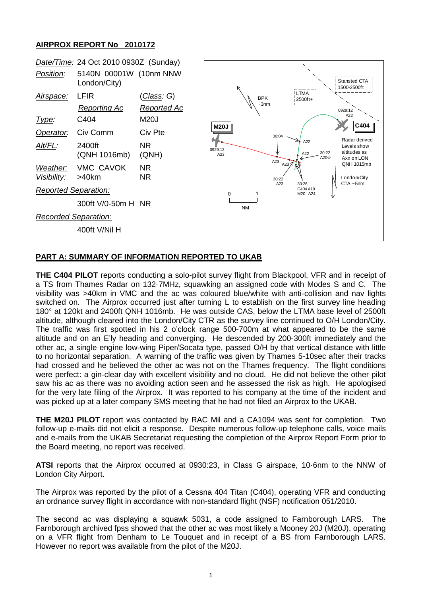## **AIRPROX REPORT No 2010172**

| Date/Time: 24 Oct 2010 0930Z (Sunday) |                                        |                        |                |                       |                         |                              |               |                                                            |
|---------------------------------------|----------------------------------------|------------------------|----------------|-----------------------|-------------------------|------------------------------|---------------|------------------------------------------------------------|
| Position:                             | 5140N 00001W (10nm NNW<br>London/City) |                        |                |                       |                         |                              |               | <b>Stansted CTA</b><br>1500-2500ft                         |
| Airspace:                             | <b>LFIR</b>                            | <u>(Class</u> : G)     |                | <b>BPK</b><br>$-3$ nm |                         | <b>LTMA</b><br>2500ft+       |               |                                                            |
|                                       | <b>Reporting Ac</b>                    | Reported Ac            |                |                       |                         |                              |               | 0929:12<br>A22                                             |
| <u>Type:</u>                          | C404                                   | <b>M20J</b>            |                |                       |                         |                              |               | C404                                                       |
| Operator:                             | Civ Comm                               | Civ Pte                | <b>M20J</b>    |                       | 30:04                   |                              |               |                                                            |
| Alt/FL:                               | 2400ft<br>(QNH 1016mb)                 | NR.<br>(QNH)           | 0929:12<br>A23 |                       |                         | A22<br>A22                   | 30:22<br>A20↓ | Radar derived<br>Levels show<br>altitudes as<br>Axx on LON |
| Weather:<br>Visibility:               | VMC CAVOK<br>$>40$ km                  | <b>NR</b><br><b>NR</b> |                |                       | A23<br>A23 $7$<br>30:22 |                              |               | QNH 1015mb<br>London/City                                  |
| <b>Reported Separation:</b>           |                                        |                        | 0              |                       | A23                     | 30:26<br>C404 A19<br>M20 A24 |               | $CTA - 5nm$                                                |
|                                       | 300ft V/0-50m H NR                     |                        |                | <b>NM</b>             |                         |                              |               |                                                            |
| <b>Recorded Separation:</b>           |                                        |                        |                |                       |                         |                              |               |                                                            |
|                                       | 400ft V/Nil H                          |                        |                |                       |                         |                              |               |                                                            |
|                                       |                                        |                        |                |                       |                         |                              |               |                                                            |

## **PART A: SUMMARY OF INFORMATION REPORTED TO UKAB**

**THE C404 PILOT** reports conducting a solo-pilot survey flight from Blackpool, VFR and in receipt of a TS from Thames Radar on 132·7MHz, squawking an assigned code with Modes S and C. The visibility was >40km in VMC and the ac was coloured blue/white with anti-collision and nav lights switched on. The Airprox occurred just after turning L to establish on the first survey line heading 180° at 120kt and 2400ft QNH 1016mb. He was outside CAS, below the LTMA base level of 2500ft altitude, although cleared into the London/City CTR as the survey line continued to O/H London/City. The traffic was first spotted in his 2 o'clock range 500-700m at what appeared to be the same altitude and on an E'ly heading and converging. He descended by 200-300ft immediately and the other ac, a single engine low-wing Piper/Socata type, passed O/H by that vertical distance with little to no horizontal separation. A warning of the traffic was given by Thames 5-10sec after their tracks had crossed and he believed the other ac was not on the Thames frequency. The flight conditions were perfect: a gin-clear day with excellent visibility and no cloud. He did not believe the other pilot saw his ac as there was no avoiding action seen and he assessed the risk as high. He apologised for the very late filing of the Airprox. It was reported to his company at the time of the incident and was picked up at a later company SMS meeting that he had not filed an Airprox to the UKAB.

**THE M20J PILOT** report was contacted by RAC Mil and a CA1094 was sent for completion. Two follow-up e-mails did not elicit a response. Despite numerous follow-up telephone calls, voice mails and e-mails from the UKAB Secretariat requesting the completion of the Airprox Report Form prior to the Board meeting, no report was received.

**ATSI** reports that the Airprox occurred at 0930:23, in Class G airspace, 10·6nm to the NNW of London City Airport.

The Airprox was reported by the pilot of a Cessna 404 Titan (C404), operating VFR and conducting an ordnance survey flight in accordance with non-standard flight (NSF) notification 051/2010.

The second ac was displaying a squawk 5031, a code assigned to Farnborough LARS. The Farnborough archived fpss showed that the other ac was most likely a Mooney 20J (M20J), operating on a VFR flight from Denham to Le Touquet and in receipt of a BS from Farnborough LARS. However no report was available from the pilot of the M20J.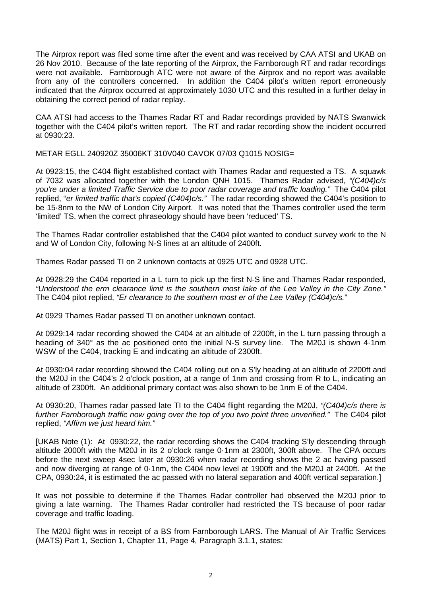The Airprox report was filed some time after the event and was received by CAA ATSI and UKAB on 26 Nov 2010. Because of the late reporting of the Airprox, the Farnborough RT and radar recordings were not available. Farnborough ATC were not aware of the Airprox and no report was available from any of the controllers concerned. In addition the C404 pilot's written report erroneously indicated that the Airprox occurred at approximately 1030 UTC and this resulted in a further delay in obtaining the correct period of radar replay.

CAA ATSI had access to the Thames Radar RT and Radar recordings provided by NATS Swanwick together with the C404 pilot's written report. The RT and radar recording show the incident occurred at 0930:23.

METAR EGLL 240920Z 35006KT 310V040 CAVOK 07/03 Q1015 NOSIG=

At 0923:15, the C404 flight established contact with Thames Radar and requested a TS. A squawk of 7032 was allocated together with the London QNH 1015. Thames Radar advised, *"(C404)c/s you're under a limited Traffic Service due to poor radar coverage and traffic loading."* The C404 pilot replied, "*er limited traffic that's copied (C404)c/s."* The radar recording showed the C404's position to be 15·8nm to the NW of London City Airport. It was noted that the Thames controller used the term 'limited' TS, when the correct phraseology should have been 'reduced' TS.

The Thames Radar controller established that the C404 pilot wanted to conduct survey work to the N and W of London City, following N-S lines at an altitude of 2400ft.

Thames Radar passed TI on 2 unknown contacts at 0925 UTC and 0928 UTC.

At 0928:29 the C404 reported in a L turn to pick up the first N-S line and Thames Radar responded, *"Understood the erm clearance limit is the southern most lake of the Lee Valley in the City Zone."* The C404 pilot replied, *"Er clearance to the southern most er of the Lee Valley (C404)c/s.*"

At 0929 Thames Radar passed TI on another unknown contact.

At 0929:14 radar recording showed the C404 at an altitude of 2200ft, in the L turn passing through a heading of 340° as the ac positioned onto the initial N-S survey line. The M20J is shown 4·1nm WSW of the C404, tracking E and indicating an altitude of 2300ft.

At 0930:04 radar recording showed the C404 rolling out on a S'ly heading at an altitude of 2200ft and the M20J in the C404's 2 o'clock position, at a range of 1nm and crossing from R to L, indicating an altitude of 2300ft. An additional primary contact was also shown to be 1nm E of the C404.

At 0930:20, Thames radar passed late TI to the C404 flight regarding the M20J, *"(C404)c/s there is further Farnborough traffic now going over the top of you two point three unverified."* The C404 pilot replied, *"Affirm we just heard him."*

[UKAB Note (1): At 0930:22, the radar recording shows the C404 tracking S'ly descending through altitude 2000ft with the M20J in its 2 o'clock range 0·1nm at 2300ft, 300ft above. The CPA occurs before the next sweep 4sec later at 0930:26 when radar recording shows the 2 ac having passed and now diverging at range of 0·1nm, the C404 now level at 1900ft and the M20J at 2400ft. At the CPA, 0930:24, it is estimated the ac passed with no lateral separation and 400ft vertical separation.]

It was not possible to determine if the Thames Radar controller had observed the M20J prior to giving a late warning. The Thames Radar controller had restricted the TS because of poor radar coverage and traffic loading.

The M20J flight was in receipt of a BS from Farnborough LARS. The Manual of Air Traffic Services (MATS) Part 1, Section 1, Chapter 11, Page 4, Paragraph 3.1.1, states: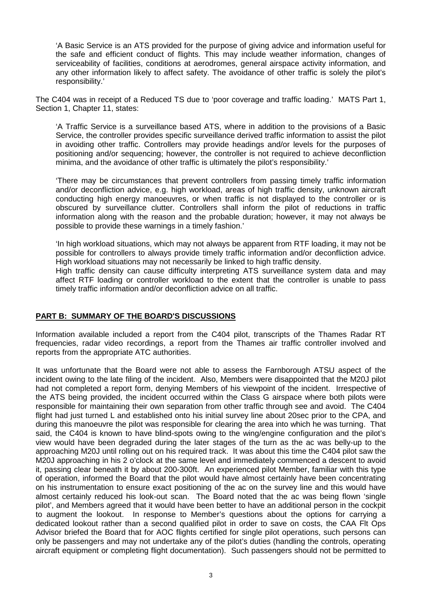'A Basic Service is an ATS provided for the purpose of giving advice and information useful for the safe and efficient conduct of flights. This may include weather information, changes of serviceability of facilities, conditions at aerodromes, general airspace activity information, and any other information likely to affect safety. The avoidance of other traffic is solely the pilot's responsibility.'

The C404 was in receipt of a Reduced TS due to 'poor coverage and traffic loading.' MATS Part 1, Section 1, Chapter 11, states:

'A Traffic Service is a surveillance based ATS, where in addition to the provisions of a Basic Service, the controller provides specific surveillance derived traffic information to assist the pilot in avoiding other traffic. Controllers may provide headings and/or levels for the purposes of positioning and/or sequencing; however, the controller is not required to achieve deconfliction minima, and the avoidance of other traffic is ultimately the pilot's responsibility.'

'There may be circumstances that prevent controllers from passing timely traffic information and/or deconfliction advice, e.g. high workload, areas of high traffic density, unknown aircraft conducting high energy manoeuvres, or when traffic is not displayed to the controller or is obscured by surveillance clutter. Controllers shall inform the pilot of reductions in traffic information along with the reason and the probable duration; however, it may not always be possible to provide these warnings in a timely fashion.'

'In high workload situations, which may not always be apparent from RTF loading, it may not be possible for controllers to always provide timely traffic information and/or deconfliction advice. High workload situations may not necessarily be linked to high traffic density.

High traffic density can cause difficulty interpreting ATS surveillance system data and may affect RTF loading or controller workload to the extent that the controller is unable to pass timely traffic information and/or deconfliction advice on all traffic.

## **PART B: SUMMARY OF THE BOARD'S DISCUSSIONS**

Information available included a report from the C404 pilot, transcripts of the Thames Radar RT frequencies, radar video recordings, a report from the Thames air traffic controller involved and reports from the appropriate ATC authorities.

It was unfortunate that the Board were not able to assess the Farnborough ATSU aspect of the incident owing to the late filing of the incident. Also, Members were disappointed that the M20J pilot had not completed a report form, denying Members of his viewpoint of the incident. Irrespective of the ATS being provided, the incident occurred within the Class G airspace where both pilots were responsible for maintaining their own separation from other traffic through see and avoid. The C404 flight had just turned L and established onto his initial survey line about 20sec prior to the CPA, and during this manoeuvre the pilot was responsible for clearing the area into which he was turning. That said, the C404 is known to have blind-spots owing to the wing/engine configuration and the pilot's view would have been degraded during the later stages of the turn as the ac was belly-up to the approaching M20J until rolling out on his required track. It was about this time the C404 pilot saw the M20J approaching in his 2 o'clock at the same level and immediately commenced a descent to avoid it, passing clear beneath it by about 200-300ft. An experienced pilot Member, familiar with this type of operation, informed the Board that the pilot would have almost certainly have been concentrating on his instrumentation to ensure exact positioning of the ac on the survey line and this would have almost certainly reduced his look-out scan. The Board noted that the ac was being flown 'single pilot', and Members agreed that it would have been better to have an additional person in the cockpit to augment the lookout. In response to Member's questions about the options for carrying a dedicated lookout rather than a second qualified pilot in order to save on costs, the CAA Flt Ops Advisor briefed the Board that for AOC flights certified for single pilot operations, such persons can only be passengers and may not undertake any of the pilot's duties (handling the controls, operating aircraft equipment or completing flight documentation). Such passengers should not be permitted to